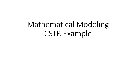# Mathematical Modeling CSTR Example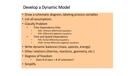### Develop a Dynamic Model

- Draw a schematic diagram, labeling process variables
- List all assumptions
- Classify Problem
	- Time Dependence Only
		- ODE: Ordinary differential equations
		- DAE: Differential algebraic equations
	- Time and Spatial Dependence
		- PDE: Partial differential equations
		- PDAE: Partial differential algebraic equations
- Write dynamic balances (mass, species, energy)
- Other relations (thermo, reactions, geometry, etc.)
- Degrees of freedom
	- Does # of eqns =  $#$  of unknowns?
- Simplify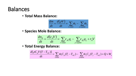### Balances

• **Total Mass Balance:**

$$
\frac{dm}{dt} = \frac{d(\rho V)}{dt} = \sum_{i=inlet} \dot{m}_i - \sum_{j=outlet} \dot{m}_j
$$

• **Species Mole Balance:**

$$
\frac{dn_A}{dt} = \frac{d(c_A V)}{dt} = \sum_{i=ihlet} c_{Ai} q_i - \sum_{j=outlet} c_{Aj} q_j + r_A V
$$

• **Total Energy Balance:**

$$
\frac{d[\rho C_p V(T-T_{ref})]}{dt} = \sum_{i: inlet} \dot{m}_i C_p (T_i - T_{ref}) - \sum_{j: outlet} \dot{m}_j C_p (T_j - T_{ref}) + Q + W_s
$$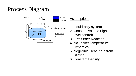# Process Diagram



### **Assumptions**

- 1. Liquid-only system
- 2. Constant volume (tight level control)
- 3. First Order Reaction
- 4. No Jacket Temperature **Dynamics**
- 5. Negligible Heat Input from **Stirring**
- 6. Constant Density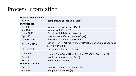### Process Information

| <b>Manipulated Variables</b> |                                                                     |
|------------------------------|---------------------------------------------------------------------|
| $TC = 270$                   | Temperature of cooling jacket (K)                                   |
| <b>Disturbances</b>          |                                                                     |
| $q = 100$                    | Volumetric Flowrate (m^3/sec)                                       |
| $V = 100$                    | Volume of CSTR (m^3)                                                |
| $rho = 1000$                 | Density of A-B Mixture (kg/m^3)                                     |
| $Cp = .239$                  | Heat capacity of A-B Mixture (J/kg-K)                               |
| $mdelH = 5e4$                | Heat of reaction for $A \rightarrow B$ (J/mol)                      |
| EoverR = $8750$              | EoverR = $E/R$ = Activation energy (J/mol) / Universal Gas Constant |
|                              | $(8.31451$ J/mol-K)                                                 |
| $k0 = 7.2e10$                | Pre-exponential factor (1/min)                                      |
| $UA = 5e4$                   | $UA = U * A = Overall Heat Transfer (W/m^2-K) / Area (m^2)$         |
| $Caf = 1$                    | Feed Concentration (mol/m^3)                                        |
| $Tf = 350$                   | Feed Temperature (K)                                                |
| <b>Differential States</b>   |                                                                     |
| $Ca = 0.9$                   | Concentration of A in CSTR (mol/m^3)                                |
| $T = 305$                    | Temperature in CSTR (K)                                             |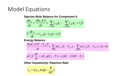## Model Equations

#### **Species Mole Balance for Component A**

$$
\frac{dn_A}{dt} = \frac{d(c_A V)}{dt} = \sum_{i=ihlet} c_{Ai} q_i - \sum_{j=outlet} c_{Aj} q_j + r_A V
$$

$$
V\frac{dc_A}{dt} = c_{A,in}q - c_Aq + r_AV
$$

#### **Energy Balance**

$$
\frac{d[\rho C_p V(T - T_{ref})]}{dt} = \sum_{i: inlet} \dot{m}_i C_p (T_i - T_{ref}) - \sum_{j: outlet} \dot{m}_j C_p (T_j - T_{ref}) + Q + W_s
$$

$$
\rho C_p V \frac{dT}{dt} = \rho C_p q (T_{in} - T) + r_A \Delta H_r - UA(T - T_C)
$$

#### **Other Equation(s): Reaction Rate**

$$
r_A = k_0 c_A \exp(-\frac{E}{RT})
$$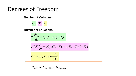### Degrees of Freedom

#### **Number of Variables**

 $c_A$  *T*  $r_A$ 

#### **Number of Equations**

$$
V\frac{dc_A}{dt} = c_{A,in}q - c_Aq + r_AV
$$

$$
\rho C_p V \frac{dT}{dt} = \rho C_p q (T_{in} - T) + r_A \Delta H_r - UA(T - T_C)
$$

$$
r_A = k_0 c_A \exp(-\frac{E}{RT})
$$

$$
N_{DOF} = N_{Variables} - N_{Equations}
$$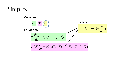#### Simplify  $c_{A,n}q - c_{A}q + r_{A}V$ *dt*  $V \frac{dc_{A}}{dt} = c_{A,in}q - c_{A}q + r_{A}$  $\frac{A}{A} = c_A$  $-c$  ,  $a +$ **Equations**  $\int_{P} V \frac{dP}{dt} = \rho C_p q (T_{in} - T) + r_A \Delta H_r - U A (T - T_C)$ *dt dT*  $\rho C_p V \frac{dP}{dr} = \rho C_p q (T_{in} - T) + r_A \Delta H_r - UA(T - T)$  $_{0}c_{A}$  exp( $-\frac{2}{R}$ ) *RT E*  $r_A = k_0 c_A \exp(-\frac{1}{2}$ **Variables**  $c_A$  *T*  $\mathbb{P}$ *r* **Substitute**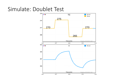### Simulate: Doublet Test

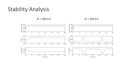### Stability Analysis

 $TC = 303.2 K$  Tc = 303.3 K